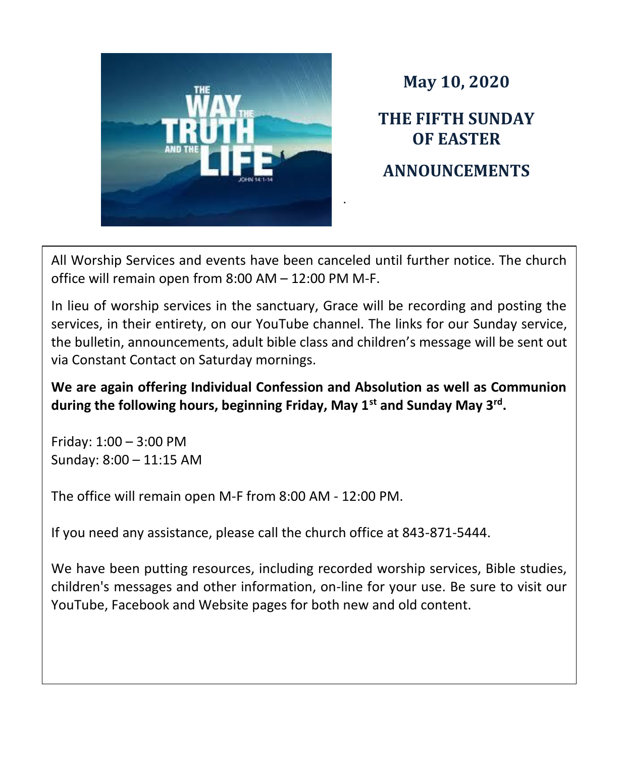

**May 10, 2020**

**THE FIFTH SUNDAY OF EASTER ANNOUNCEMENTS**

All Worship Services and events have been canceled until further notice. The church office will remain open from 8:00 AM – 12:00 PM M-F.

In lieu of worship services in the sanctuary, Grace will be recording and posting the services, in their entirety, on our YouTube channel. The links for our Sunday service, the bulletin, announcements, adult bible class and children's message will be sent out via Constant Contact on Saturday mornings.

**We are again offering Individual Confession and Absolution as well as Communion during the following hours, beginning Friday, May 1st and Sunday May 3rd .**

Friday: 1:00 – 3:00 PM Sunday: 8:00 – 11:15 AM

The office will remain open M-F from 8:00 AM - 12:00 PM.

If you need any assistance, please call the church office at 843-871-5444.

We have been putting resources, including recorded worship services, Bible studies, children's messages and other information, on-line for your use. Be sure to visit our YouTube, Facebook and Website pages for both new and old content.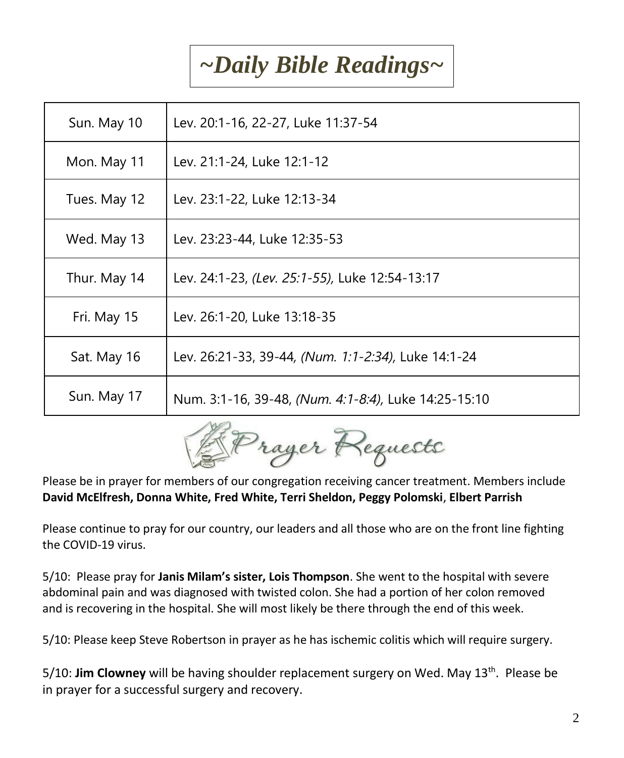## *~Daily Bible Readings~*

| Sun. May 10  | Lev. 20:1-16, 22-27, Luke 11:37-54                   |
|--------------|------------------------------------------------------|
| Mon. May 11  | Lev. 21:1-24, Luke 12:1-12                           |
| Tues. May 12 | Lev. 23:1-22, Luke 12:13-34                          |
| Wed. May 13  | Lev. 23:23-44, Luke 12:35-53                         |
| Thur. May 14 | Lev. 24:1-23, (Lev. 25:1-55), Luke 12:54-13:17       |
| Fri. May 15  | Lev. 26:1-20, Luke 13:18-35                          |
| Sat. May 16  | Lev. 26:21-33, 39-44, (Num. 1:1-2:34), Luke 14:1-24  |
| Sun. May 17  | Num. 3:1-16, 39-48, (Num. 4:1-8:4), Luke 14:25-15:10 |



Please be in prayer for members of our congregation receiving cancer treatment. Members include **David McElfresh, Donna White, Fred White, Terri Sheldon, Peggy Polomski**, **Elbert Parrish**

Please continue to pray for our country, our leaders and all those who are on the front line fighting the COVID-19 virus.

5/10: Please pray for **Janis Milam's sister, Lois Thompson**. She went to the hospital with severe abdominal pain and was diagnosed with twisted colon. She had a portion of her colon removed and is recovering in the hospital. She will most likely be there through the end of this week.

5/10: Please keep Steve Robertson in prayer as he has ischemic colitis which will require surgery.

5/10: **Jim Clowney** will be having shoulder replacement surgery on Wed. May 13th. Please be in prayer for a successful surgery and recovery.